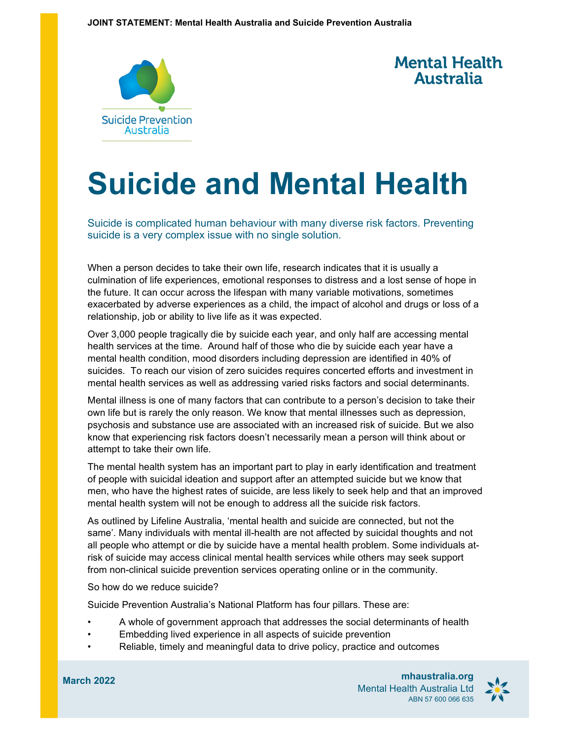



## **Suicide and Mental Health**

Suicide is complicated human behaviour with many diverse risk factors. Preventing suicide is a very complex issue with no single solution.

When a person decides to take their own life, research indicates that it is usually a culmination of life experiences, emotional responses to distress and a lost sense of hope in the future. It can occur across the lifespan with many variable motivations, sometimes exacerbated by adverse experiences as a child, the impact of alcohol and drugs or loss of a relationship, job or ability to live life as it was expected.

Over 3,000 people tragically die by suicide each year, and only half are accessing mental health services at the time. Around half of those who die by suicide each year have a mental health condition, mood disorders including depression are identified in 40% of suicides. To reach our vision of zero suicides requires concerted efforts and investment in mental health services as well as addressing varied risks factors and social determinants.

Mental illness is one of many factors that can contribute to a person's decision to take their own life but is rarely the only reason. We know that mental illnesses such as depression, psychosis and substance use are associated with an increased risk of suicide. But we also know that experiencing risk factors doesn't necessarily mean a person will think about or attempt to take their own life.

The mental health system has an important part to play in early identification and treatment of people with suicidal ideation and support after an attempted suicide but we know that men, who have the highest rates of suicide, are less likely to seek help and that an improved mental health system will not be enough to address all the suicide risk factors.

As outlined by Lifeline Australia, 'mental health and suicide are connected, but not the same'. Many individuals with mental ill-health are not affected by suicidal thoughts and not all people who attempt or die by suicide have a mental health problem. Some individuals atrisk of suicide may access clinical mental health services while others may seek support from non-clinical suicide prevention services operating online or in the community.

So how do we reduce suicide?

Suicide Prevention Australia's National Platform has four pillars. These are:

- A whole of government approach that addresses the social determinants of health
- Embedding lived experience in all aspects of suicide prevention
- Reliable, timely and meaningful data to drive policy, practice and outcomes